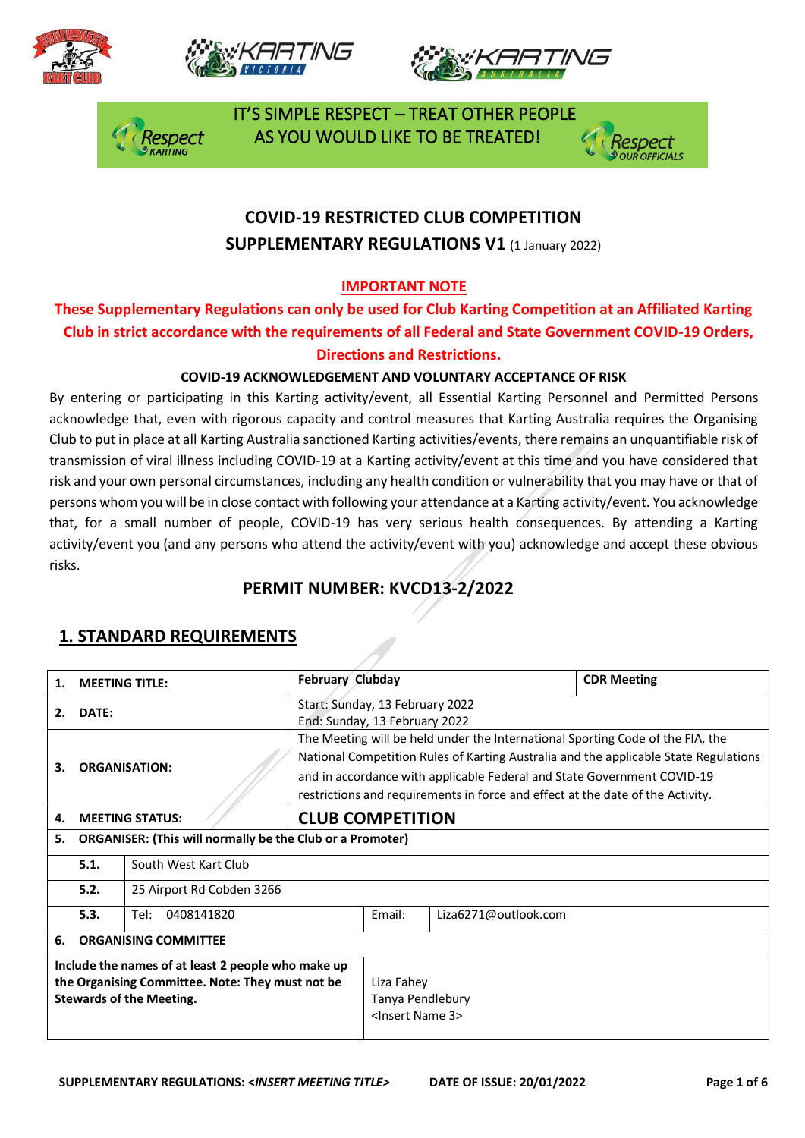







 IT'S SIMPLE RESPECT – TREAT OTHER PEOPLE AS YOU WOULD LIKE TO BE TREATED!



## **COVID-19 RESTRICTED CLUB COMPETITION SUPPLEMENTARY REGULATIONS V1 (1 January 2022)**

#### **IMPORTANT NOTE**

### **These Supplementary Regulations can only be used for Club Karting Competition at an Affiliated Karting Club in strict accordance with the requirements of all Federal and State Government COVID-19 Orders, Directions and Restrictions.**

#### **COVID-19 ACKNOWLEDGEMENT AND VOLUNTARY ACCEPTANCE OF RISK**

By entering or participating in this Karting activity/event, all Essential Karting Personnel and Permitted Persons acknowledge that, even with rigorous capacity and control measures that Karting Australia requires the Organising Club to put in place at all Karting Australia sanctioned Karting activities/events, there remains an unquantifiable risk of transmission of viral illness including COVID-19 at a Karting activity/event at this time and you have considered that risk and your own personal circumstances, including any health condition or vulnerability that you may have or that of persons whom you will be in close contact with following your attendance at a Karting activity/event. You acknowledge that, for a small number of people, COVID-19 has very serious health consequences. By attending a Karting activity/event you (and any persons who attend the activity/event with you) acknowledge and accept these obvious risks.

## **PERMIT NUMBER: KVCD13-2/2022**

| 1.                                                                                                                                        | <b>MEETING TITLE:</b>             | <b>February Clubday</b>                                                                                                                                                                                                                                                                                                             |                                                                  |                      | <b>CDR Meeting</b> |
|-------------------------------------------------------------------------------------------------------------------------------------------|-----------------------------------|-------------------------------------------------------------------------------------------------------------------------------------------------------------------------------------------------------------------------------------------------------------------------------------------------------------------------------------|------------------------------------------------------------------|----------------------|--------------------|
| 2.                                                                                                                                        | DATE:                             | Start: Sunday, 13 February 2022<br>End: Sunday, 13 February 2022                                                                                                                                                                                                                                                                    |                                                                  |                      |                    |
| 3.                                                                                                                                        | <b>ORGANISATION:</b>              | The Meeting will be held under the International Sporting Code of the FIA, the<br>National Competition Rules of Karting Australia and the applicable State Regulations<br>and in accordance with applicable Federal and State Government COVID-19<br>restrictions and requirements in force and effect at the date of the Activity. |                                                                  |                      |                    |
| 4.                                                                                                                                        | <b>MEETING STATUS:</b>            | <b>CLUB COMPETITION</b>                                                                                                                                                                                                                                                                                                             |                                                                  |                      |                    |
| <b>ORGANISER: (This will normally be the Club or a Promoter)</b><br>5.                                                                    |                                   |                                                                                                                                                                                                                                                                                                                                     |                                                                  |                      |                    |
|                                                                                                                                           | 5.1.<br>South West Kart Club      |                                                                                                                                                                                                                                                                                                                                     |                                                                  |                      |                    |
|                                                                                                                                           | 5.2.<br>25 Airport Rd Cobden 3266 |                                                                                                                                                                                                                                                                                                                                     |                                                                  |                      |                    |
|                                                                                                                                           | 5.3.<br>Tel:<br>0408141820        |                                                                                                                                                                                                                                                                                                                                     | Email:                                                           | Liza6271@outlook.com |                    |
| 6.                                                                                                                                        | <b>ORGANISING COMMITTEE</b>       |                                                                                                                                                                                                                                                                                                                                     |                                                                  |                      |                    |
| Include the names of at least 2 people who make up<br>the Organising Committee. Note: They must not be<br><b>Stewards of the Meeting.</b> |                                   |                                                                                                                                                                                                                                                                                                                                     | Liza Fahey<br>Tanya Pendlebury<br><lnsert 3="" name=""></lnsert> |                      |                    |

### **1. STANDARD REQUIREMENTS**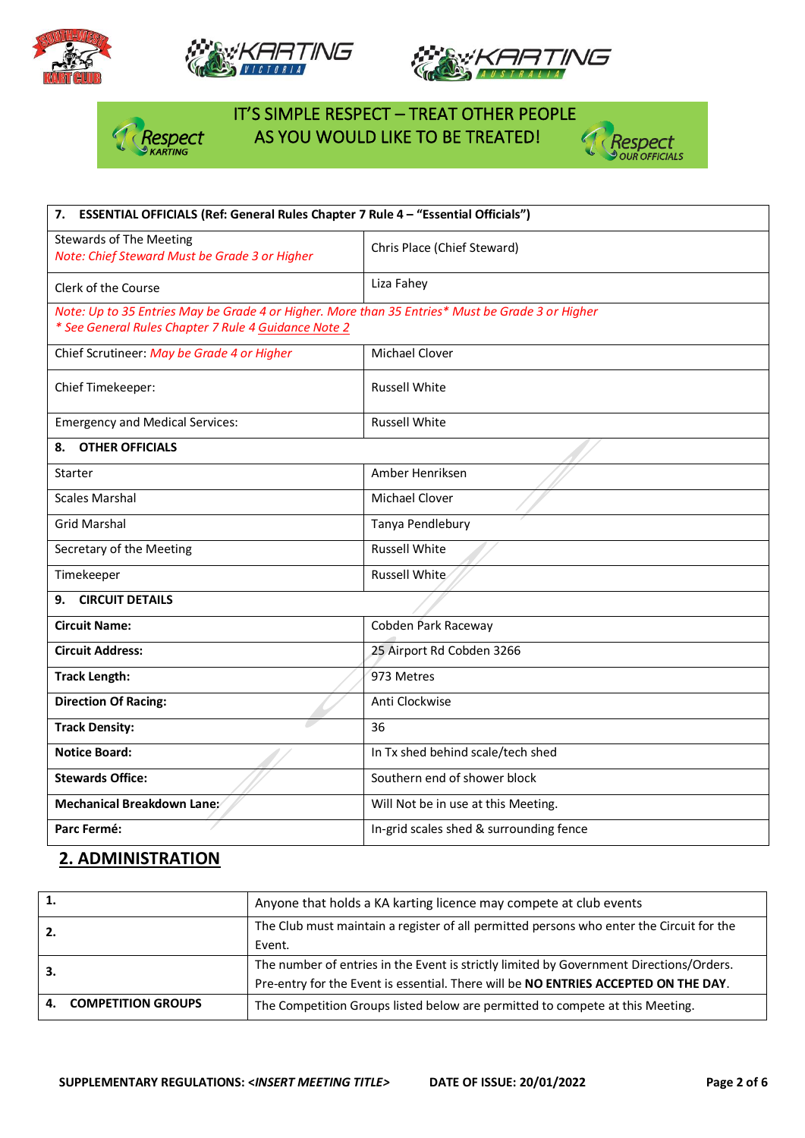







# IT'S SIMPLE RESPECT – TREAT OTHER PEOPLE **Asspect** AS YOU WOULD LIKE TO BE TREATED!



| 7. ESSENTIAL OFFICIALS (Ref: General Rules Chapter 7 Rule 4 - "Essential Officials")                                                                     |                                         |  |  |
|----------------------------------------------------------------------------------------------------------------------------------------------------------|-----------------------------------------|--|--|
| <b>Stewards of The Meeting</b><br>Note: Chief Steward Must be Grade 3 or Higher                                                                          | Chris Place (Chief Steward)             |  |  |
| Clerk of the Course                                                                                                                                      | Liza Fahey                              |  |  |
| Note: Up to 35 Entries May be Grade 4 or Higher. More than 35 Entries* Must be Grade 3 or Higher<br>* See General Rules Chapter 7 Rule 4 Guidance Note 2 |                                         |  |  |
| Chief Scrutineer: May be Grade 4 or Higher                                                                                                               | <b>Michael Clover</b>                   |  |  |
| Chief Timekeeper:                                                                                                                                        | <b>Russell White</b>                    |  |  |
| <b>Emergency and Medical Services:</b>                                                                                                                   | <b>Russell White</b>                    |  |  |
| <b>OTHER OFFICIALS</b><br>8.                                                                                                                             |                                         |  |  |
| Starter                                                                                                                                                  | Amber Henriksen                         |  |  |
| <b>Scales Marshal</b>                                                                                                                                    | Michael Clover                          |  |  |
| <b>Grid Marshal</b>                                                                                                                                      | Tanya Pendlebury                        |  |  |
| Secretary of the Meeting                                                                                                                                 | <b>Russell White</b>                    |  |  |
| Timekeeper                                                                                                                                               | Russell White                           |  |  |
| <b>CIRCUIT DETAILS</b><br>9.                                                                                                                             |                                         |  |  |
| <b>Circuit Name:</b>                                                                                                                                     | Cobden Park Raceway                     |  |  |
| <b>Circuit Address:</b>                                                                                                                                  | 25 Airport Rd Cobden 3266               |  |  |
| <b>Track Length:</b>                                                                                                                                     | 973 Metres                              |  |  |
| <b>Direction Of Racing:</b>                                                                                                                              | Anti Clockwise                          |  |  |
| <b>Track Density:</b>                                                                                                                                    | 36                                      |  |  |
| <b>Notice Board:</b>                                                                                                                                     | In Tx shed behind scale/tech shed       |  |  |
| <b>Stewards Office:</b>                                                                                                                                  | Southern end of shower block            |  |  |
| Mechanical Breakdown Lane:                                                                                                                               | Will Not be in use at this Meeting.     |  |  |
| Parc Fermé:                                                                                                                                              | In-grid scales shed & surrounding fence |  |  |

## **2. ADMINISTRATION**

| 1. |                           | Anyone that holds a KA karting licence may compete at club events                        |
|----|---------------------------|------------------------------------------------------------------------------------------|
|    |                           | The Club must maintain a register of all permitted persons who enter the Circuit for the |
|    |                           | Event.                                                                                   |
| З. |                           | The number of entries in the Event is strictly limited by Government Directions/Orders.  |
|    |                           | Pre-entry for the Event is essential. There will be NO ENTRIES ACCEPTED ON THE DAY.      |
| 4. | <b>COMPETITION GROUPS</b> | The Competition Groups listed below are permitted to compete at this Meeting.            |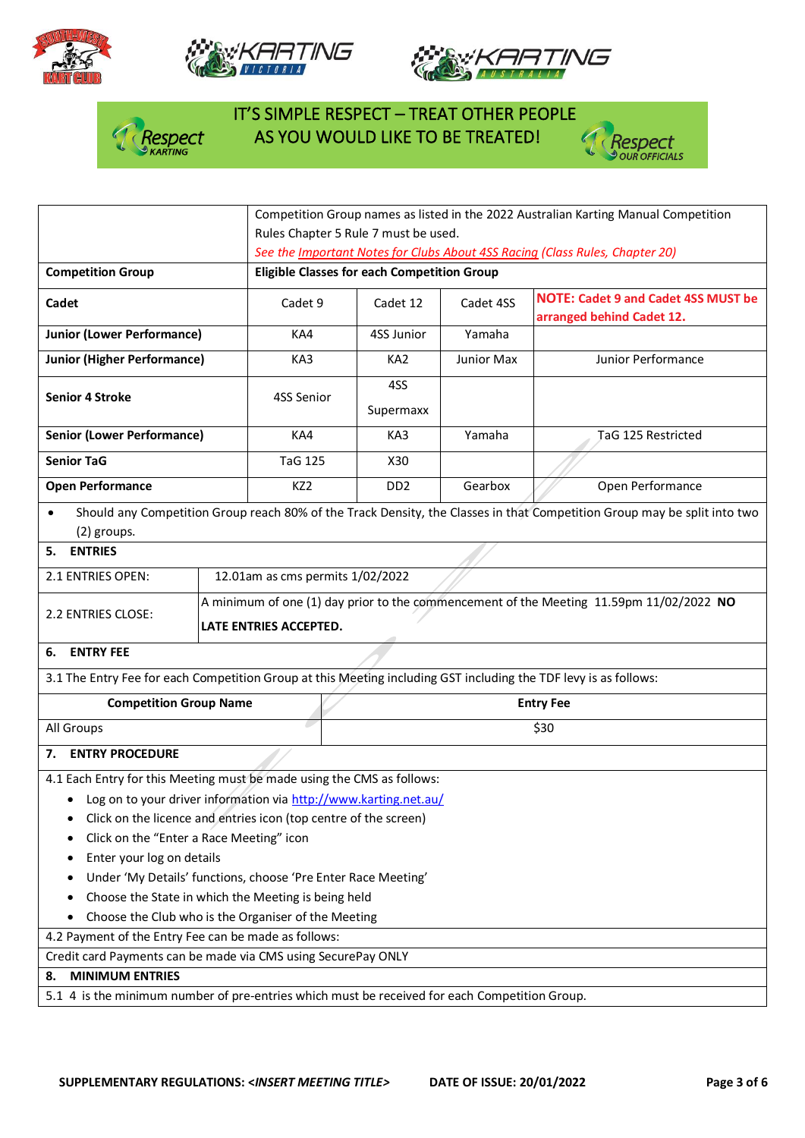







# IT'S SIMPLE RESPECT – TREAT OTHER PEOPLE  $\int_{\mathcal{A}}$  Respect AS YOU WOULD LIKE TO BE TREATED!



|                                                                                                                  |                                                                                                                   | Competition Group names as listed in the 2022 Australian Karting Manual Competition |                             |            |                                                                                                                          |  |  |
|------------------------------------------------------------------------------------------------------------------|-------------------------------------------------------------------------------------------------------------------|-------------------------------------------------------------------------------------|-----------------------------|------------|--------------------------------------------------------------------------------------------------------------------------|--|--|
|                                                                                                                  |                                                                                                                   | Rules Chapter 5 Rule 7 must be used.                                                |                             |            |                                                                                                                          |  |  |
|                                                                                                                  |                                                                                                                   | See the Important Notes for Clubs About 4SS Racing (Class Rules, Chapter 20)        |                             |            |                                                                                                                          |  |  |
| <b>Competition Group</b>                                                                                         |                                                                                                                   | <b>Eligible Classes for each Competition Group</b>                                  |                             |            |                                                                                                                          |  |  |
| Cadet                                                                                                            |                                                                                                                   | Cadet 9                                                                             | Cadet 12                    | Cadet 4SS  | <b>NOTE: Cadet 9 and Cadet 4SS MUST be</b><br>arranged behind Cadet 12.                                                  |  |  |
| <b>Junior (Lower Performance)</b>                                                                                |                                                                                                                   | KA4                                                                                 | 4SS Junior                  | Yamaha     |                                                                                                                          |  |  |
| <b>Junior (Higher Performance)</b>                                                                               |                                                                                                                   | KA3                                                                                 | KA <sub>2</sub>             | Junior Max | Junior Performance                                                                                                       |  |  |
| <b>Senior 4 Stroke</b>                                                                                           |                                                                                                                   | 4SS Senior                                                                          | 4SS<br>Supermaxx            |            |                                                                                                                          |  |  |
| <b>Senior (Lower Performance)</b>                                                                                |                                                                                                                   | KA4                                                                                 | KA3                         | Yamaha     | TaG 125 Restricted                                                                                                       |  |  |
| <b>Senior TaG</b>                                                                                                |                                                                                                                   | <b>TaG 125</b>                                                                      | X30                         |            |                                                                                                                          |  |  |
| <b>Open Performance</b>                                                                                          |                                                                                                                   | KZ <sub>2</sub>                                                                     | D <sub>D</sub> <sub>2</sub> | Gearbox    | Open Performance                                                                                                         |  |  |
| (2) groups.                                                                                                      |                                                                                                                   |                                                                                     |                             |            | Should any Competition Group reach 80% of the Track Density, the Classes in that Competition Group may be split into two |  |  |
| <b>ENTRIES</b><br>5.                                                                                             |                                                                                                                   |                                                                                     |                             |            |                                                                                                                          |  |  |
| 2.1 ENTRIES OPEN:                                                                                                |                                                                                                                   | 12.01am as cms permits 1/02/2022                                                    |                             |            |                                                                                                                          |  |  |
| 2.2 ENTRIES CLOSE:                                                                                               | A minimum of one (1) day prior to the commencement of the Meeting 11.59pm 11/02/2022 NO<br>LATE ENTRIES ACCEPTED. |                                                                                     |                             |            |                                                                                                                          |  |  |
| <b>ENTRY FEE</b><br>6.                                                                                           |                                                                                                                   |                                                                                     |                             |            |                                                                                                                          |  |  |
| 3.1 The Entry Fee for each Competition Group at this Meeting including GST including the TDF levy is as follows: |                                                                                                                   |                                                                                     |                             |            |                                                                                                                          |  |  |
| <b>Competition Group Name</b>                                                                                    |                                                                                                                   | <b>Entry Fee</b>                                                                    |                             |            |                                                                                                                          |  |  |
| All Groups                                                                                                       |                                                                                                                   | \$30                                                                                |                             |            |                                                                                                                          |  |  |
| <b>ENTRY PROCEDURE</b><br>7.                                                                                     |                                                                                                                   |                                                                                     |                             |            |                                                                                                                          |  |  |
| 4.1 Each Entry for this Meeting must be made using the CMS as follows:                                           |                                                                                                                   |                                                                                     |                             |            |                                                                                                                          |  |  |
| • Log on to your driver information via http://www.karting.net.au/                                               |                                                                                                                   |                                                                                     |                             |            |                                                                                                                          |  |  |
| Click on the licence and entries icon (top centre of the screen)                                                 |                                                                                                                   |                                                                                     |                             |            |                                                                                                                          |  |  |
| Click on the "Enter a Race Meeting" icon                                                                         |                                                                                                                   |                                                                                     |                             |            |                                                                                                                          |  |  |
| Enter your log on details                                                                                        |                                                                                                                   |                                                                                     |                             |            |                                                                                                                          |  |  |
| Under 'My Details' functions, choose 'Pre Enter Race Meeting'                                                    |                                                                                                                   |                                                                                     |                             |            |                                                                                                                          |  |  |
| Choose the State in which the Meeting is being held<br>٠                                                         |                                                                                                                   |                                                                                     |                             |            |                                                                                                                          |  |  |
| Choose the Club who is the Organiser of the Meeting                                                              |                                                                                                                   |                                                                                     |                             |            |                                                                                                                          |  |  |
| 4.2 Payment of the Entry Fee can be made as follows:                                                             |                                                                                                                   |                                                                                     |                             |            |                                                                                                                          |  |  |
| Credit card Payments can be made via CMS using SecurePay ONLY                                                    |                                                                                                                   |                                                                                     |                             |            |                                                                                                                          |  |  |
| <b>MINIMUM ENTRIES</b><br>8.                                                                                     |                                                                                                                   |                                                                                     |                             |            |                                                                                                                          |  |  |
|                                                                                                                  | 5.1 4 is the minimum number of pre-entries which must be received for each Competition Group.                     |                                                                                     |                             |            |                                                                                                                          |  |  |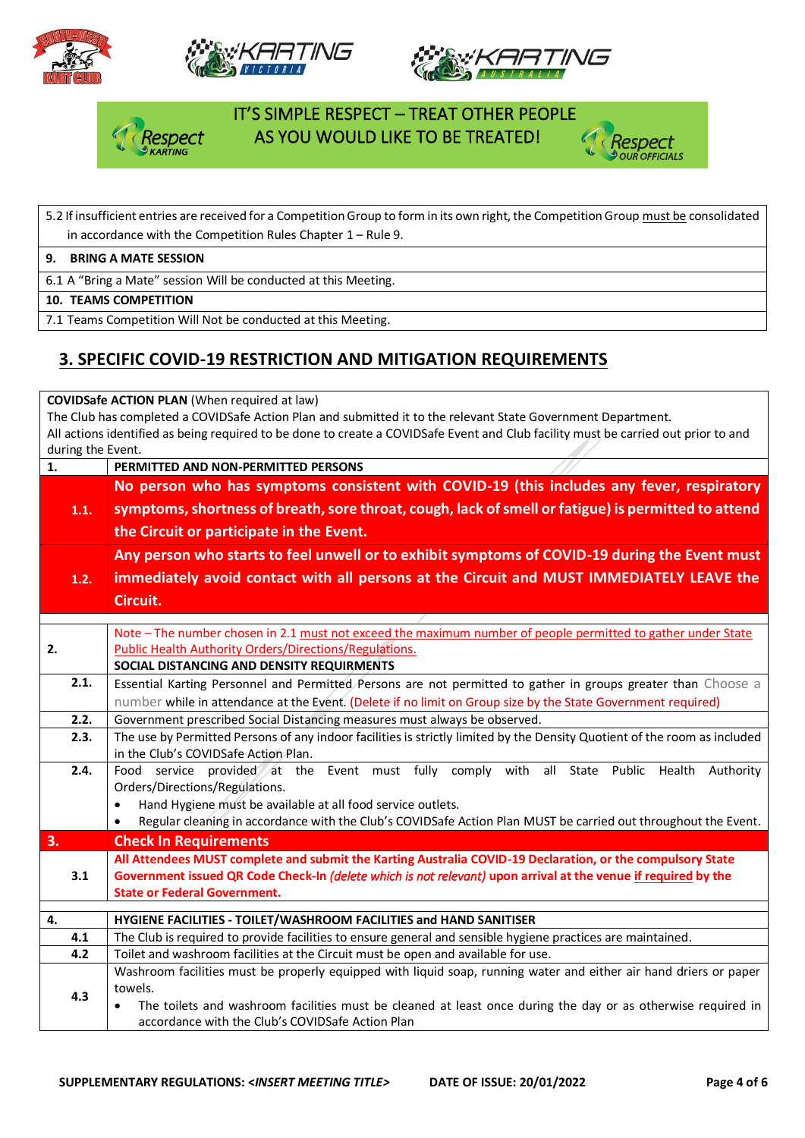







### IT'S SIMPLE RESPECT – TREAT OTHER PEOPLE AS YOU WOULD LIKE TO BE TREATED!



## 5.2 If insufficient entries are received for a Competition Group to form in its own right, the Competition Group must be consolidated in accordance with the Competition Rules Chapter 1 – Rule 9.

#### **9. BRING A MATE SESSION**

6.1 A "Bring a Mate" session Will be conducted at this Meeting.

#### **10. TEAMS COMPETITION**

7.1 Teams Competition Will Not be conducted at this Meeting.

## **3. SPECIFIC COVID-19 RESTRICTION AND MITIGATION REQUIREMENTS**

**COVIDSafe ACTION PLAN** (When required at law)

The Club has completed a COVIDSafe Action Plan and submitted it to the relevant State Government Department. All actions identified as being required to be done to create a COVIDSafe Event and Club facility must be carried out prior to and during the Event.

| $\mathbf{1}$ . | PERMITTED AND NON-PERMITTED PERSONS                                                                                                                                                        |  |  |  |  |  |  |  |  |
|----------------|--------------------------------------------------------------------------------------------------------------------------------------------------------------------------------------------|--|--|--|--|--|--|--|--|
|                | No person who has symptoms consistent with COVID-19 (this includes any fever, respiratory                                                                                                  |  |  |  |  |  |  |  |  |
| 1.1.           | symptoms, shortness of breath, sore throat, cough, lack of smell or fatigue) is permitted to attend                                                                                        |  |  |  |  |  |  |  |  |
|                | the Circuit or participate in the Event.                                                                                                                                                   |  |  |  |  |  |  |  |  |
|                | Any person who starts to feel unwell or to exhibit symptoms of COVID-19 during the Event must                                                                                              |  |  |  |  |  |  |  |  |
| 1.2.           | immediately avoid contact with all persons at the Circuit and MUST IMMEDIATELY LEAVE the                                                                                                   |  |  |  |  |  |  |  |  |
|                | Circuit.                                                                                                                                                                                   |  |  |  |  |  |  |  |  |
|                |                                                                                                                                                                                            |  |  |  |  |  |  |  |  |
| 2.             | Note - The number chosen in 2.1 must not exceed the maximum number of people permitted to gather under State<br>Public Health Authority Orders/Directions/Regulations.                     |  |  |  |  |  |  |  |  |
|                | SOCIAL DISTANCING AND DENSITY REQUIRMENTS                                                                                                                                                  |  |  |  |  |  |  |  |  |
| 2.1.           | Essential Karting Personnel and Permitted Persons are not permitted to gather in groups greater than Choose a                                                                              |  |  |  |  |  |  |  |  |
|                | number while in attendance at the Event. (Delete if no limit on Group size by the State Government required)                                                                               |  |  |  |  |  |  |  |  |
| 2.2.           | Government prescribed Social Distancing measures must always be observed.                                                                                                                  |  |  |  |  |  |  |  |  |
| 2.3.           | The use by Permitted Persons of any indoor facilities is strictly limited by the Density Quotient of the room as included                                                                  |  |  |  |  |  |  |  |  |
|                | in the Club's COVIDSafe Action Plan.                                                                                                                                                       |  |  |  |  |  |  |  |  |
| 2.4.           | Food service provided at the Event must fully comply with all State Public Health Authority                                                                                                |  |  |  |  |  |  |  |  |
|                | Orders/Directions/Regulations.                                                                                                                                                             |  |  |  |  |  |  |  |  |
|                | Hand Hygiene must be available at all food service outlets.<br>$\bullet$<br>Regular cleaning in accordance with the Club's COVIDSafe Action Plan MUST be carried out throughout the Event. |  |  |  |  |  |  |  |  |
| 3.             | <b>Check In Requirements</b>                                                                                                                                                               |  |  |  |  |  |  |  |  |
|                | All Attendees MUST complete and submit the Karting Australia COVID-19 Declaration, or the compulsory State                                                                                 |  |  |  |  |  |  |  |  |
| 3.1            | Government issued QR Code Check-In (delete which is not relevant) upon arrival at the venue if required by the                                                                             |  |  |  |  |  |  |  |  |
|                | <b>State or Federal Government.</b>                                                                                                                                                        |  |  |  |  |  |  |  |  |
| 4.             | HYGIENE FACILITIES - TOILET/WASHROOM FACILITIES and HAND SANITISER                                                                                                                         |  |  |  |  |  |  |  |  |
| 4.1            | The Club is required to provide facilities to ensure general and sensible hygiene practices are maintained.                                                                                |  |  |  |  |  |  |  |  |
| 4.2            | Toilet and washroom facilities at the Circuit must be open and available for use.                                                                                                          |  |  |  |  |  |  |  |  |
|                | Washroom facilities must be properly equipped with liquid soap, running water and either air hand driers or paper                                                                          |  |  |  |  |  |  |  |  |
| 4.3            | towels.                                                                                                                                                                                    |  |  |  |  |  |  |  |  |
|                | The toilets and washroom facilities must be cleaned at least once during the day or as otherwise required in<br>$\bullet$                                                                  |  |  |  |  |  |  |  |  |
|                | accordance with the Club's COVIDSafe Action Plan                                                                                                                                           |  |  |  |  |  |  |  |  |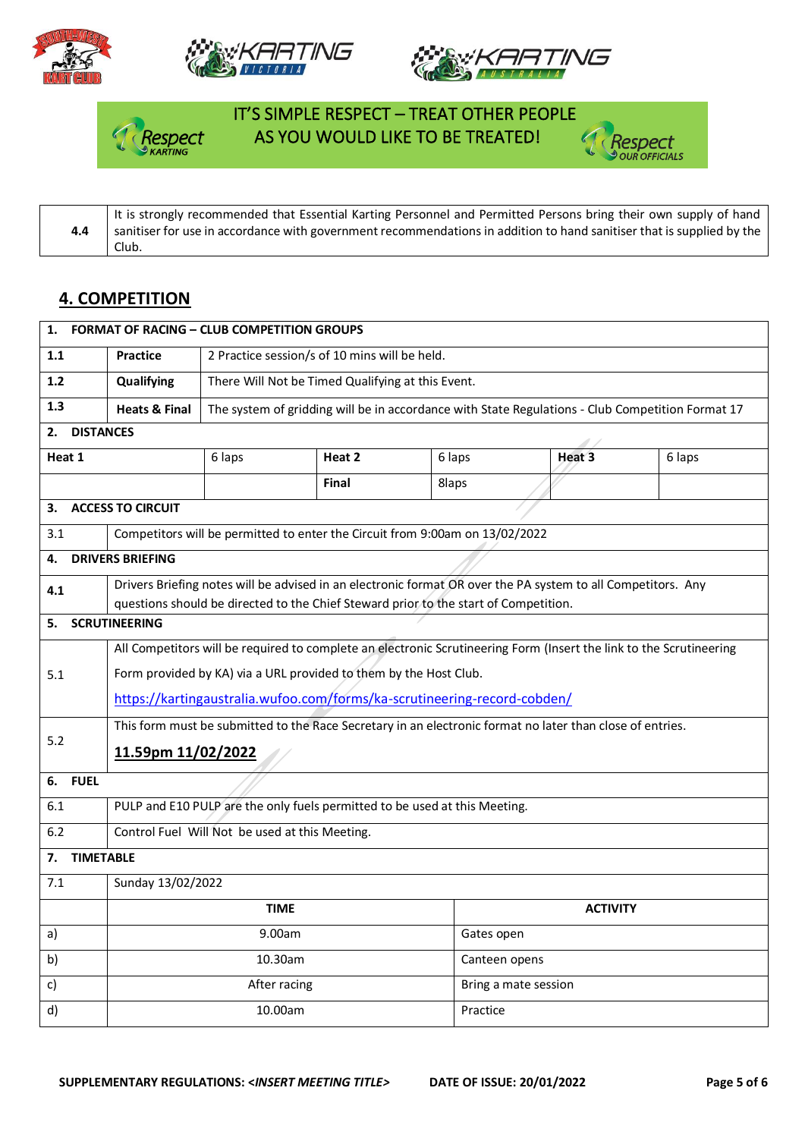







### IT'S SIMPLE RESPECT – TREAT OTHER PEOPLE spect AS YOU WOULD LIKE TO BE TREATED!



**4.4** It is strongly recommended that Essential Karting Personnel and Permitted Persons bring their own supply of hand sanitiser for use in accordance with government recommendations in addition to hand sanitiser that is supplied by the Club.

#### **4. COMPETITION**

| 1.                                                                      |                                                                          | <b>FORMAT OF RACING - CLUB COMPETITION GROUPS</b>                                                                   |                                                   |                                                                                      |               |                                                                                                              |        |  |
|-------------------------------------------------------------------------|--------------------------------------------------------------------------|---------------------------------------------------------------------------------------------------------------------|---------------------------------------------------|--------------------------------------------------------------------------------------|---------------|--------------------------------------------------------------------------------------------------------------|--------|--|
| 2 Practice session/s of 10 mins will be held.<br>1.1<br><b>Practice</b> |                                                                          |                                                                                                                     |                                                   |                                                                                      |               |                                                                                                              |        |  |
| $1.2$                                                                   |                                                                          | Qualifying                                                                                                          | There Will Not be Timed Qualifying at this Event. |                                                                                      |               |                                                                                                              |        |  |
| 1.3                                                                     |                                                                          | <b>Heats &amp; Final</b>                                                                                            |                                                   |                                                                                      |               | The system of gridding will be in accordance with State Regulations - Club Competition Format 17             |        |  |
| 2.                                                                      | <b>DISTANCES</b>                                                         |                                                                                                                     |                                                   |                                                                                      |               |                                                                                                              |        |  |
| Heat 1                                                                  |                                                                          |                                                                                                                     | 6 laps                                            | Heat 2                                                                               | 6 laps        | Heat 3                                                                                                       | 6 laps |  |
|                                                                         |                                                                          |                                                                                                                     |                                                   | Final                                                                                | 8laps         |                                                                                                              |        |  |
| З.                                                                      |                                                                          | <b>ACCESS TO CIRCUIT</b>                                                                                            |                                                   |                                                                                      |               |                                                                                                              |        |  |
| 3.1                                                                     |                                                                          |                                                                                                                     |                                                   | Competitors will be permitted to enter the Circuit from 9:00am on 13/02/2022         |               |                                                                                                              |        |  |
| 4.                                                                      |                                                                          | <b>DRIVERS BRIEFING</b>                                                                                             |                                                   |                                                                                      |               |                                                                                                              |        |  |
| 4.1                                                                     |                                                                          |                                                                                                                     |                                                   |                                                                                      |               | Drivers Briefing notes will be advised in an electronic format OR over the PA system to all Competitors. Any |        |  |
| 5.                                                                      |                                                                          | <b>SCRUTINEERING</b>                                                                                                |                                                   | questions should be directed to the Chief Steward prior to the start of Competition. |               |                                                                                                              |        |  |
|                                                                         |                                                                          |                                                                                                                     |                                                   |                                                                                      |               |                                                                                                              |        |  |
|                                                                         |                                                                          | All Competitors will be required to complete an electronic Scrutineering Form (Insert the link to the Scrutineering |                                                   |                                                                                      |               |                                                                                                              |        |  |
| 5.1                                                                     |                                                                          | Form provided by KA) via a URL provided to them by the Host Club.                                                   |                                                   |                                                                                      |               |                                                                                                              |        |  |
|                                                                         | https://kartingaustralia.wufoo.com/forms/ka-scrutineering-record-cobden/ |                                                                                                                     |                                                   |                                                                                      |               |                                                                                                              |        |  |
| 5.2                                                                     |                                                                          | This form must be submitted to the Race Secretary in an electronic format no later than close of entries.           |                                                   |                                                                                      |               |                                                                                                              |        |  |
|                                                                         |                                                                          | 11.59pm 11/02/2022                                                                                                  |                                                   |                                                                                      |               |                                                                                                              |        |  |
| 6.                                                                      | <b>FUEL</b>                                                              |                                                                                                                     |                                                   |                                                                                      |               |                                                                                                              |        |  |
| 6.1                                                                     |                                                                          | PULP and E10 PULP are the only fuels permitted to be used at this Meeting.                                          |                                                   |                                                                                      |               |                                                                                                              |        |  |
| 6.2                                                                     |                                                                          | Control Fuel Will Not be used at this Meeting.                                                                      |                                                   |                                                                                      |               |                                                                                                              |        |  |
| 7.                                                                      | <b>TIMETABLE</b>                                                         |                                                                                                                     |                                                   |                                                                                      |               |                                                                                                              |        |  |
| 7.1                                                                     | Sunday 13/02/2022                                                        |                                                                                                                     |                                                   |                                                                                      |               |                                                                                                              |        |  |
|                                                                         |                                                                          | <b>TIME</b><br><b>ACTIVITY</b>                                                                                      |                                                   |                                                                                      |               |                                                                                                              |        |  |
| a)                                                                      |                                                                          |                                                                                                                     | 9.00am                                            |                                                                                      | Gates open    |                                                                                                              |        |  |
| b)                                                                      |                                                                          |                                                                                                                     | 10.30am                                           |                                                                                      | Canteen opens |                                                                                                              |        |  |
| c)                                                                      |                                                                          |                                                                                                                     | After racing                                      |                                                                                      |               | Bring a mate session                                                                                         |        |  |
| d)                                                                      |                                                                          | 10.00am<br>Practice                                                                                                 |                                                   |                                                                                      |               |                                                                                                              |        |  |